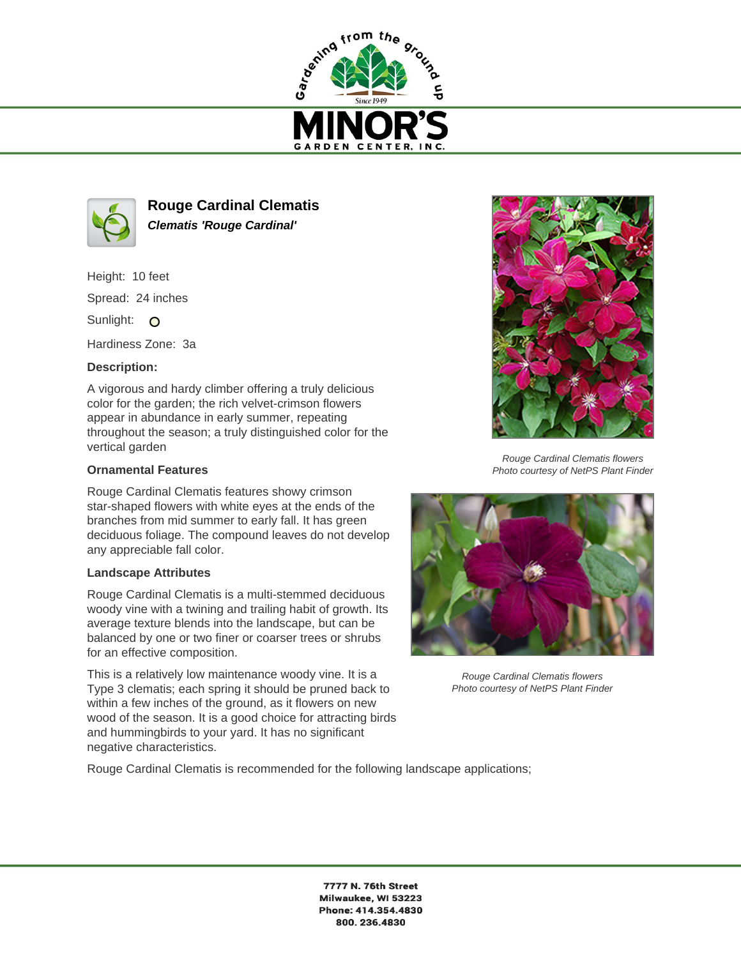



**Rouge Cardinal Clematis Clematis 'Rouge Cardinal'**

Height: 10 feet

Spread: 24 inches

Sunlight: O

Hardiness Zone: 3a

## **Description:**

A vigorous and hardy climber offering a truly delicious color for the garden; the rich velvet-crimson flowers appear in abundance in early summer, repeating throughout the season; a truly distinguished color for the vertical garden

## **Ornamental Features**

Rouge Cardinal Clematis features showy crimson star-shaped flowers with white eyes at the ends of the branches from mid summer to early fall. It has green deciduous foliage. The compound leaves do not develop any appreciable fall color.

## **Landscape Attributes**

Rouge Cardinal Clematis is a multi-stemmed deciduous woody vine with a twining and trailing habit of growth. Its average texture blends into the landscape, but can be balanced by one or two finer or coarser trees or shrubs for an effective composition.

This is a relatively low maintenance woody vine. It is a Type 3 clematis; each spring it should be pruned back to within a few inches of the ground, as it flowers on new wood of the season. It is a good choice for attracting birds and hummingbirds to your yard. It has no significant negative characteristics.



Rouge Cardinal Clematis flowers Photo courtesy of NetPS Plant Finder



Rouge Cardinal Clematis flowers Photo courtesy of NetPS Plant Finder

Rouge Cardinal Clematis is recommended for the following landscape applications;

7777 N. 76th Street Milwaukee, WI 53223 Phone: 414.354.4830 800.236.4830